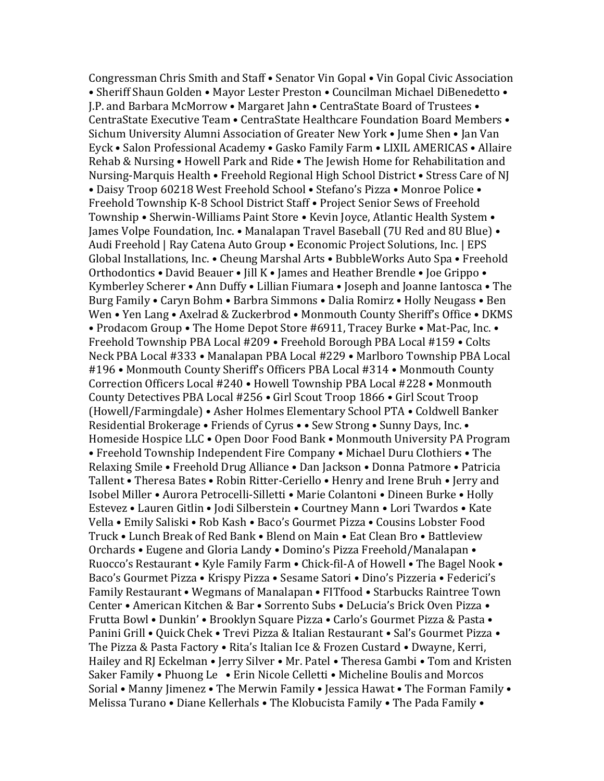Congressman Chris Smith and Staff • Senator Vin Gopal • Vin Gopal Civic Association • Sheriff Shaun Golden • Mayor Lester Preston • Councilman Michael DiBenedetto • J.P. and Barbara McMorrow • Margaret Jahn • CentraState Board of Trustees • CentraState Executive Team • CentraState Healthcare Foundation Board Members • Sichum University Alumni Association of Greater New York • Jume Shen • Jan Van Eyck • Salon Professional Academy • Gasko Family Farm • LIXIL AMERICAS • Allaire Rehab & Nursing • Howell Park and Ride • The Jewish Home for Rehabilitation and Nursing-Marquis Health • Freehold Regional High School District • Stress Care of NJ • Daisy Troop 60218 West Freehold School • Stefano's Pizza • Monroe Police • Freehold Township K-8 School District Staff • Project Senior Sews of Freehold Township • Sherwin-Williams Paint Store • Kevin Joyce, Atlantic Health System • James Volpe Foundation, Inc. • Manalapan Travel Baseball (7U Red and 8U Blue) • Audi Freehold | Ray Catena Auto Group • Economic Project Solutions, Inc. | EPS Global Installations, Inc. • Cheung Marshal Arts • BubbleWorks Auto Spa • Freehold Orthodontics • David Beauer • Jill K • James and Heather Brendle • Joe Grippo • Kymberley Scherer • Ann Duffy • Lillian Fiumara • Joseph and Joanne Iantosca • The Burg Family • Caryn Bohm • Barbra Simmons • Dalia Romirz • Holly Neugass • Ben Wen • Yen Lang • Axelrad & Zuckerbrod • Monmouth County Sheriff's Office • DKMS • Prodacom Group • The Home Depot Store #6911, Tracey Burke • Mat-Pac, Inc. • Freehold Township PBA Local #209 • Freehold Borough PBA Local #159 • Colts Neck PBA Local #333 • Manalapan PBA Local #229 • Marlboro Township PBA Local #196 • Monmouth County Sheriff's Officers PBA Local #314 • Monmouth County Correction Officers Local #240 • Howell Township PBA Local #228 • Monmouth County Detectives PBA Local #256 • Girl Scout Troop 1866 • Girl Scout Troop (Howell/Farmingdale) • Asher Holmes Elementary School PTA • Coldwell Banker Residential Brokerage • Friends of Cyrus • • Sew Strong • Sunny Days, Inc. • Homeside Hospice LLC • Open Door Food Bank • Monmouth University PA Program • Freehold Township Independent Fire Company • Michael Duru Clothiers • The Relaxing Smile • Freehold Drug Alliance • Dan Jackson • Donna Patmore • Patricia Tallent • Theresa Bates • Robin Ritter-Ceriello • Henry and Irene Bruh • Jerry and Isobel Miller • Aurora Petrocelli-Silletti • Marie Colantoni • Dineen Burke • Holly Estevez • Lauren Gitlin • Jodi Silberstein • Courtney Mann • Lori Twardos • Kate Vella • Emily Saliski • Rob Kash • Baco's Gourmet Pizza • Cousins Lobster Food Truck • Lunch Break of Red Bank • Blend on Main • Eat Clean Bro • Battleview Orchards • Eugene and Gloria Landy • Domino's Pizza Freehold/Manalapan • Ruocco's Restaurant • Kyle Family Farm • Chick-fil-A of Howell • The Bagel Nook • Baco's Gourmet Pizza • Krispy Pizza • Sesame Satori • Dino's Pizzeria • Federici's Family Restaurant • Wegmans of Manalapan • FITfood • Starbucks Raintree Town Center • American Kitchen & Bar • Sorrento Subs • DeLucia's Brick Oven Pizza • Frutta Bowl • Dunkin' • Brooklyn Square Pizza • Carlo's Gourmet Pizza & Pasta • Panini Grill • Quick Chek • Trevi Pizza & Italian Restaurant • Sal's Gourmet Pizza • The Pizza & Pasta Factory • Rita's Italian Ice & Frozen Custard • Dwayne, Kerri, Hailey and RJ Eckelman • Jerry Silver • Mr. Patel • Theresa Gambi • Tom and Kristen Saker Family • Phuong Le • Erin Nicole Celletti • Micheline Boulis and Morcos Sorial • Manny Jimenez • The Merwin Family • Jessica Hawat • The Forman Family • Melissa Turano • Diane Kellerhals • The Klobucista Family • The Pada Family •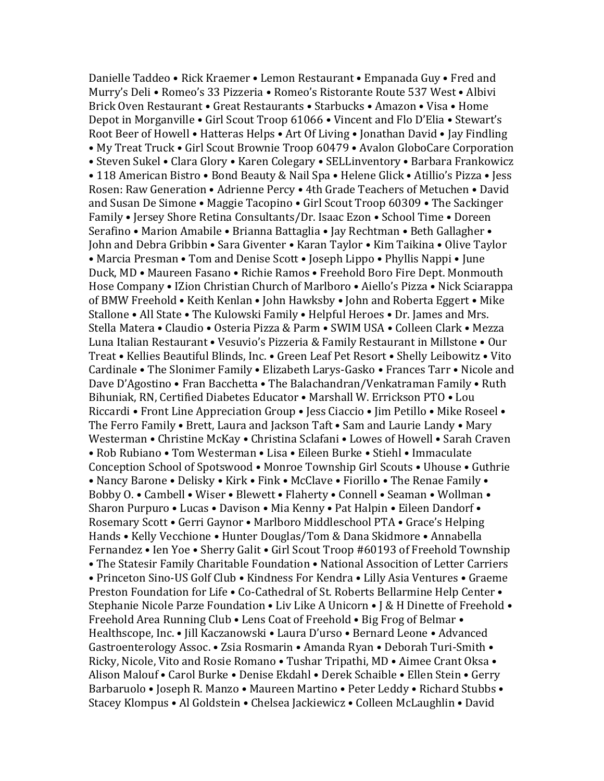Danielle Taddeo • Rick Kraemer • Lemon Restaurant • Empanada Guy • Fred and Murry's Deli • Romeo's 33 Pizzeria • Romeo's Ristorante Route 537 West • Albivi Brick Oven Restaurant • Great Restaurants • Starbucks • Amazon • Visa • Home Depot in Morganville • Girl Scout Troop 61066 • Vincent and Flo D'Elia • Stewart's Root Beer of Howell • Hatteras Helps • Art Of Living • Jonathan David • Jay Findling • My Treat Truck • Girl Scout Brownie Troop 60479 • Avalon GloboCare Corporation • Steven Sukel • Clara Glory • Karen Colegary • SELLinventory • Barbara Frankowicz • 118 American Bistro • Bond Beauty & Nail Spa • Helene Glick • Atillio's Pizza • Jess Rosen: Raw Generation • Adrienne Percy • 4th Grade Teachers of Metuchen • David and Susan De Simone • Maggie Tacopino • Girl Scout Troop 60309 • The Sackinger Family • Jersey Shore Retina Consultants/Dr. Isaac Ezon • School Time • Doreen Serafino • Marion Amabile • Brianna Battaglia • Jay Rechtman • Beth Gallagher • John and Debra Gribbin • Sara Giventer • Karan Taylor • Kim Taikina • Olive Taylor • Marcia Presman • Tom and Denise Scott • Joseph Lippo • Phyllis Nappi • June Duck, MD • Maureen Fasano • Richie Ramos • Freehold Boro Fire Dept. Monmouth Hose Company • IZion Christian Church of Marlboro • Aiello's Pizza • Nick Sciarappa of BMW Freehold • Keith Kenlan • John Hawksby • John and Roberta Eggert • Mike Stallone • All State • The Kulowski Family • Helpful Heroes • Dr. James and Mrs. Stella Matera • Claudio • Osteria Pizza & Parm • SWIM USA • Colleen Clark • Mezza Luna Italian Restaurant • Vesuvio's Pizzeria & Family Restaurant in Millstone • Our Treat • Kellies Beautiful Blinds, Inc. • Green Leaf Pet Resort • Shelly Leibowitz • Vito Cardinale • The Slonimer Family • Elizabeth Larys-Gasko • Frances Tarr • Nicole and Dave D'Agostino • Fran Bacchetta • The Balachandran/Venkatraman Family • Ruth Bihuniak, RN, Certified Diabetes Educator • Marshall W. Errickson PTO • Lou Riccardi • Front Line Appreciation Group • Jess Ciaccio • Jim Petillo • Mike Roseel • The Ferro Family • Brett, Laura and Jackson Taft • Sam and Laurie Landy • Mary Westerman • Christine McKay • Christina Sclafani • Lowes of Howell • Sarah Craven • Rob Rubiano • Tom Westerman • Lisa • Eileen Burke • Stiehl • Immaculate Conception School of Spotswood • Monroe Township Girl Scouts • Uhouse • Guthrie • Nancy Barone • Delisky • Kirk • Fink • McClave • Fiorillo • The Renae Family • Bobby O. • Cambell • Wiser • Blewett • Flaherty • Connell • Seaman • Wollman • Sharon Purpuro • Lucas • Davison • Mia Kenny • Pat Halpin • Eileen Dandorf • Rosemary Scott • Gerri Gaynor • Marlboro Middleschool PTA • Grace's Helping Hands • Kelly Vecchione • Hunter Douglas/Tom & Dana Skidmore • Annabella Fernandez • Ien Yoe • Sherry Galit • Girl Scout Troop #60193 of Freehold Township • The Statesir Family Charitable Foundation • National Assocition of Letter Carriers • Princeton Sino-US Golf Club • Kindness For Kendra • Lilly Asia Ventures • Graeme Preston Foundation for Life • Co-Cathedral of St. Roberts Bellarmine Help Center • Stephanie Nicole Parze Foundation • Liv Like A Unicorn • J & H Dinette of Freehold • Freehold Area Running Club • Lens Coat of Freehold • Big Frog of Belmar • Healthscope, Inc. • Jill Kaczanowski • Laura D'urso • Bernard Leone • Advanced Gastroenterology Assoc. • Zsia Rosmarin • Amanda Ryan • Deborah Turi-Smith • Ricky, Nicole, Vito and Rosie Romano • Tushar Tripathi, MD • Aimee Crant Oksa • Alison Malouf • Carol Burke • Denise Ekdahl • Derek Schaible • Ellen Stein • Gerry Barbaruolo • Joseph R. Manzo • Maureen Martino • Peter Leddy • Richard Stubbs • Stacey Klompus • Al Goldstein • Chelsea Jackiewicz • Colleen McLaughlin • David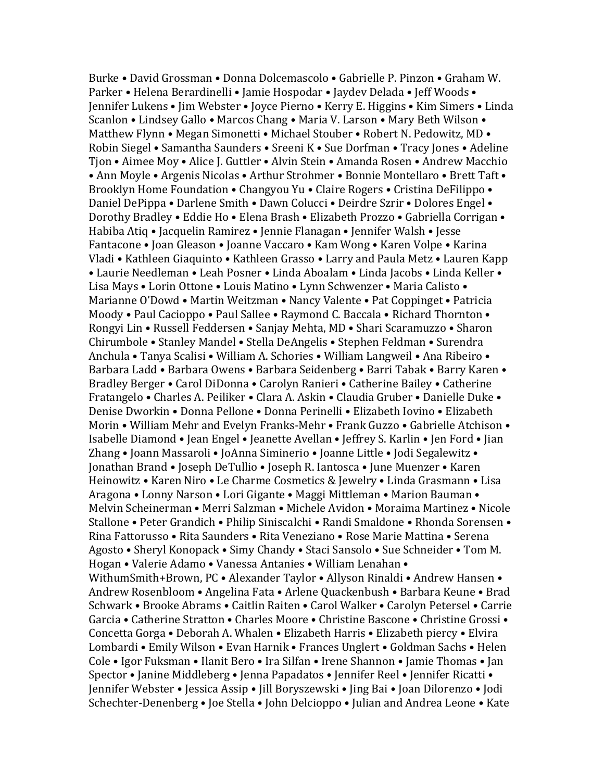Burke • David Grossman • Donna Dolcemascolo • Gabrielle P. Pinzon • Graham W. Parker • Helena Berardinelli • Jamie Hospodar • Jaydev Delada • Jeff Woods • Jennifer Lukens • Jim Webster • Joyce Pierno • Kerry E. Higgins • Kim Simers • Linda Scanlon • Lindsey Gallo • Marcos Chang • Maria V. Larson • Mary Beth Wilson • Matthew Flynn • Megan Simonetti • Michael Stouber • Robert N. Pedowitz, MD • Robin Siegel • Samantha Saunders • Sreeni K • Sue Dorfman • Tracy Jones • Adeline Tjon • Aimee Moy • Alice J. Guttler • Alvin Stein • Amanda Rosen • Andrew Macchio • Ann Moyle • Argenis Nicolas • Arthur Strohmer • Bonnie Montellaro • Brett Taft • Brooklyn Home Foundation • Changyou Yu • Claire Rogers • Cristina DeFilippo • Daniel DePippa • Darlene Smith • Dawn Colucci • Deirdre Szrir • Dolores Engel • Dorothy Bradley • Eddie Ho • Elena Brash • Elizabeth Prozzo • Gabriella Corrigan • Habiba Atiq • Jacquelin Ramirez • Jennie Flanagan • Jennifer Walsh • Jesse Fantacone • Joan Gleason • Joanne Vaccaro • Kam Wong • Karen Volpe • Karina Vladi • Kathleen Giaquinto • Kathleen Grasso • Larry and Paula Metz • Lauren Kapp • Laurie Needleman • Leah Posner • Linda Aboalam • Linda Jacobs • Linda Keller • Lisa Mays • Lorin Ottone • Louis Matino • Lynn Schwenzer • Maria Calisto • Marianne O'Dowd • Martin Weitzman • Nancy Valente • Pat Coppinget • Patricia Moody • Paul Cacioppo • Paul Sallee • Raymond C. Baccala • Richard Thornton • Rongyi Lin • Russell Feddersen • Sanjay Mehta, MD • Shari Scaramuzzo • Sharon Chirumbole • Stanley Mandel • Stella DeAngelis • Stephen Feldman • Surendra Anchula • Tanya Scalisi • William A. Schories • William Langweil • Ana Ribeiro • Barbara Ladd • Barbara Owens • Barbara Seidenberg • Barri Tabak • Barry Karen • Bradley Berger • Carol DiDonna • Carolyn Ranieri • Catherine Bailey • Catherine Fratangelo • Charles A. Peiliker • Clara A. Askin • Claudia Gruber • Danielle Duke • Denise Dworkin • Donna Pellone • Donna Perinelli • Elizabeth Iovino • Elizabeth Morin • William Mehr and Evelyn Franks-Mehr • Frank Guzzo • Gabrielle Atchison • Isabelle Diamond • Jean Engel • Jeanette Avellan • Jeffrey S. Karlin • Jen Ford • Jian Zhang • Joann Massaroli • JoAnna Siminerio • Joanne Little • Jodi Segalewitz • Jonathan Brand • Joseph DeTullio • Joseph R. Iantosca • June Muenzer • Karen Heinowitz • Karen Niro • Le Charme Cosmetics & Jewelry • Linda Grasmann • Lisa Aragona • Lonny Narson • Lori Gigante • Maggi Mittleman • Marion Bauman • Melvin Scheinerman • Merri Salzman • Michele Avidon • Moraima Martinez • Nicole Stallone • Peter Grandich • Philip Siniscalchi • Randi Smaldone • Rhonda Sorensen • Rina Fattorusso • Rita Saunders • Rita Veneziano • Rose Marie Mattina • Serena Agosto • Sheryl Konopack • Simy Chandy • Staci Sansolo • Sue Schneider • Tom M. Hogan • Valerie Adamo • Vanessa Antanies • William Lenahan • WithumSmith+Brown, PC • Alexander Taylor • Allyson Rinaldi • Andrew Hansen • Andrew Rosenbloom • Angelina Fata • Arlene Quackenbush • Barbara Keune • Brad Schwark • Brooke Abrams • Caitlin Raiten • Carol Walker • Carolyn Petersel • Carrie Garcia • Catherine Stratton • Charles Moore • Christine Bascone • Christine Grossi • Concetta Gorga • Deborah A. Whalen • Elizabeth Harris • Elizabeth piercy • Elvira Lombardi • Emily Wilson • Evan Harnik • Frances Unglert • Goldman Sachs • Helen Cole • Igor Fuksman • Ilanit Bero • Ira Silfan • Irene Shannon • Jamie Thomas • Jan Spector • Janine Middleberg • Jenna Papadatos • Jennifer Reel • Jennifer Ricatti • Jennifer Webster • Jessica Assip • Jill Boryszewski • Jing Bai • Joan Dilorenzo • Jodi Schechter-Denenberg • Joe Stella • John Delcioppo • Julian and Andrea Leone • Kate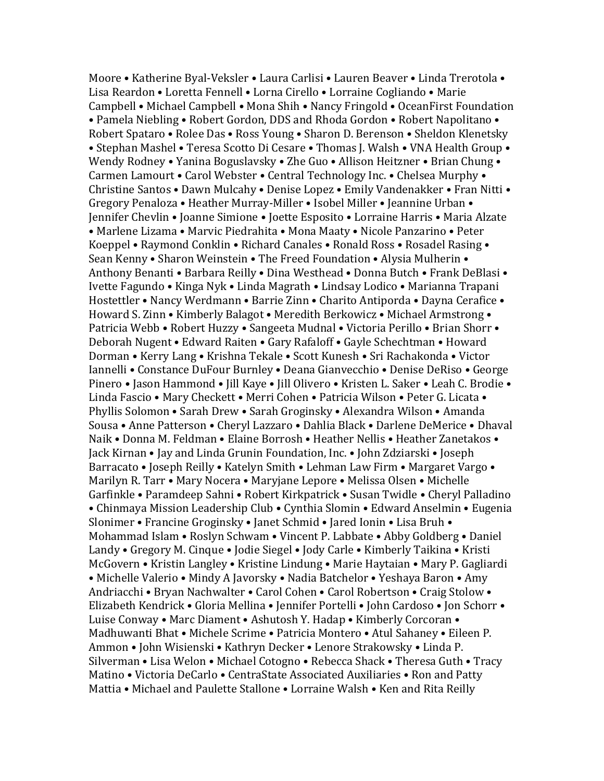Moore • Katherine Byal-Veksler • Laura Carlisi • Lauren Beaver • Linda Trerotola • Lisa Reardon • Loretta Fennell • Lorna Cirello • Lorraine Cogliando • Marie Campbell • Michael Campbell • Mona Shih • Nancy Fringold • OceanFirst Foundation • Pamela Niebling • Robert Gordon, DDS and Rhoda Gordon • Robert Napolitano • Robert Spataro • Rolee Das • Ross Young • Sharon D. Berenson • Sheldon Klenetsky • Stephan Mashel • Teresa Scotto Di Cesare • Thomas J. Walsh • VNA Health Group • Wendy Rodney • Yanina Boguslavsky • Zhe Guo • Allison Heitzner • Brian Chung • Carmen Lamourt • Carol Webster • Central Technology Inc. • Chelsea Murphy • Christine Santos • Dawn Mulcahy • Denise Lopez • Emily Vandenakker • Fran Nitti • Gregory Penaloza • Heather Murray-Miller • Isobel Miller • Jeannine Urban • Jennifer Chevlin • Joanne Simione • Joette Esposito • Lorraine Harris • Maria Alzate • Marlene Lizama • Marvic Piedrahita • Mona Maaty • Nicole Panzarino • Peter Koeppel • Raymond Conklin • Richard Canales • Ronald Ross • Rosadel Rasing • Sean Kenny • Sharon Weinstein • The Freed Foundation • Alysia Mulherin • Anthony Benanti • Barbara Reilly • Dina Westhead • Donna Butch • Frank DeBlasi • Ivette Fagundo • Kinga Nyk • Linda Magrath • Lindsay Lodico • Marianna Trapani Hostettler • Nancy Werdmann • Barrie Zinn • Charito Antiporda • Dayna Cerafice • Howard S. Zinn • Kimberly Balagot • Meredith Berkowicz • Michael Armstrong • Patricia Webb • Robert Huzzy • Sangeeta Mudnal • Victoria Perillo • Brian Shorr • Deborah Nugent • Edward Raiten • Gary Rafaloff • Gayle Schechtman • Howard Dorman • Kerry Lang • Krishna Tekale • Scott Kunesh • Sri Rachakonda • Victor Iannelli • Constance DuFour Burnley • Deana Gianvecchio • Denise DeRiso • George Pinero • Jason Hammond • Jill Kaye • Jill Olivero • Kristen L. Saker • Leah C. Brodie • Linda Fascio • Mary Checkett • Merri Cohen • Patricia Wilson • Peter G. Licata • Phyllis Solomon • Sarah Drew • Sarah Groginsky • Alexandra Wilson • Amanda Sousa • Anne Patterson • Cheryl Lazzaro • Dahlia Black • Darlene DeMerice • Dhaval Naik • Donna M. Feldman • Elaine Borrosh • Heather Nellis • Heather Zanetakos • Jack Kirnan • Jay and Linda Grunin Foundation, Inc. • John Zdziarski • Joseph Barracato • Joseph Reilly • Katelyn Smith • Lehman Law Firm • Margaret Vargo • Marilyn R. Tarr • Mary Nocera • Maryjane Lepore • Melissa Olsen • Michelle Garfinkle • Paramdeep Sahni • Robert Kirkpatrick • Susan Twidle • Cheryl Palladino • Chinmaya Mission Leadership Club • Cynthia Slomin • Edward Anselmin • Eugenia Slonimer • Francine Groginsky • Janet Schmid • Jared Ionin • Lisa Bruh • Mohammad Islam • Roslyn Schwam • Vincent P. Labbate • Abby Goldberg • Daniel Landy • Gregory M. Cinque • Jodie Siegel • Jody Carle • Kimberly Taikina • Kristi McGovern • Kristin Langley • Kristine Lindung • Marie Haytaian • Mary P. Gagliardi • Michelle Valerio • Mindy A Javorsky • Nadia Batchelor • Yeshaya Baron • Amy Andriacchi • Bryan Nachwalter • Carol Cohen • Carol Robertson • Craig Stolow • Elizabeth Kendrick • Gloria Mellina • Jennifer Portelli • John Cardoso • Jon Schorr • Luise Conway • Marc Diament • Ashutosh Y. Hadap • Kimberly Corcoran • Madhuwanti Bhat • Michele Scrime • Patricia Montero • Atul Sahaney • Eileen P. Ammon • John Wisienski • Kathryn Decker • Lenore Strakowsky • Linda P. Silverman • Lisa Welon • Michael Cotogno • Rebecca Shack • Theresa Guth • Tracy Matino • Victoria DeCarlo • CentraState Associated Auxiliaries • Ron and Patty Mattia • Michael and Paulette Stallone • Lorraine Walsh • Ken and Rita Reilly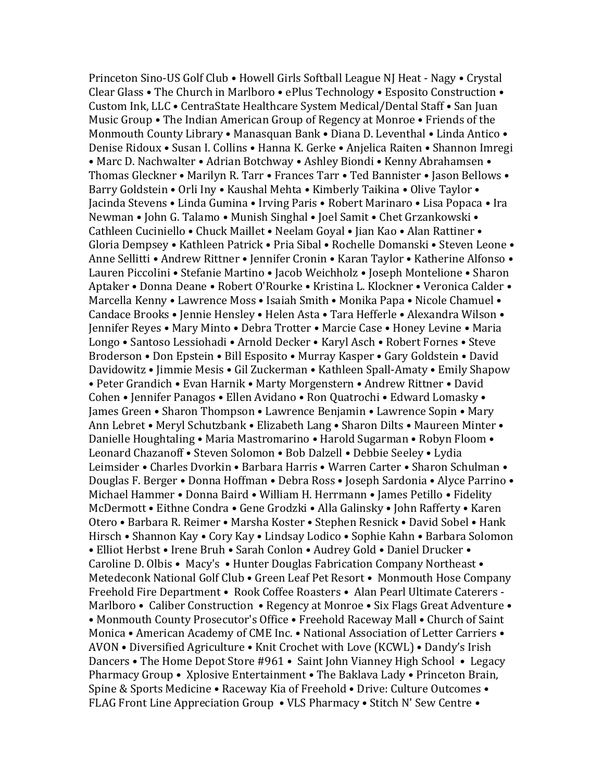Princeton Sino-US Golf Club • Howell Girls Softball League NJ Heat - Nagy • Crystal Clear Glass • The Church in Marlboro • ePlus Technology • Esposito Construction • Custom Ink, LLC • CentraState Healthcare System Medical/Dental Staff • San Juan Music Group • The Indian American Group of Regency at Monroe • Friends of the Monmouth County Library • Manasquan Bank • Diana D. Leventhal • Linda Antico • Denise Ridoux • Susan I. Collins • Hanna K. Gerke • Anjelica Raiten • Shannon Imregi • Marc D. Nachwalter • Adrian Botchway • Ashley Biondi • Kenny Abrahamsen • Thomas Gleckner • Marilyn R. Tarr • Frances Tarr • Ted Bannister • Jason Bellows • Barry Goldstein • Orli Iny • Kaushal Mehta • Kimberly Taikina • Olive Taylor • Jacinda Stevens • Linda Gumina • Irving Paris • Robert Marinaro • Lisa Popaca • Ira Newman • John G. Talamo • Munish Singhal • Joel Samit • Chet Grzankowski • Cathleen Cuciniello • Chuck Maillet • Neelam Goyal • Jian Kao • Alan Rattiner • Gloria Dempsey • Kathleen Patrick • Pria Sibal • Rochelle Domanski • Steven Leone • Anne Sellitti • Andrew Rittner • Jennifer Cronin • Karan Taylor • Katherine Alfonso • Lauren Piccolini • Stefanie Martino • Jacob Weichholz • Joseph Montelione • Sharon Aptaker • Donna Deane • Robert O'Rourke • Kristina L. Klockner • Veronica Calder • Marcella Kenny • Lawrence Moss • Isaiah Smith • Monika Papa • Nicole Chamuel • Candace Brooks • Jennie Hensley • Helen Asta • Tara Hefferle • Alexandra Wilson • Jennifer Reyes • Mary Minto • Debra Trotter • Marcie Case • Honey Levine • Maria Longo • Santoso Lessiohadi • Arnold Decker • Karyl Asch • Robert Fornes • Steve Broderson • Don Epstein • Bill Esposito • Murray Kasper • Gary Goldstein • David Davidowitz • Jimmie Mesis • Gil Zuckerman • Kathleen Spall-Amaty • Emily Shapow • Peter Grandich • Evan Harnik • Marty Morgenstern • Andrew Rittner • David Cohen • Jennifer Panagos • Ellen Avidano • Ron Quatrochi • Edward Lomasky • James Green • Sharon Thompson • Lawrence Benjamin • Lawrence Sopin • Mary Ann Lebret • Meryl Schutzbank • Elizabeth Lang • Sharon Dilts • Maureen Minter • Danielle Houghtaling • Maria Mastromarino • Harold Sugarman • Robyn Floom • Leonard Chazanoff • Steven Solomon • Bob Dalzell • Debbie Seeley • Lydia Leimsider • Charles Dvorkin • Barbara Harris • Warren Carter • Sharon Schulman • Douglas F. Berger • Donna Hoffman • Debra Ross • Joseph Sardonia • Alyce Parrino • Michael Hammer • Donna Baird • William H. Herrmann • James Petillo • Fidelity McDermott • Eithne Condra • Gene Grodzki • Alla Galinsky • John Rafferty • Karen Otero • Barbara R. Reimer • Marsha Koster • Stephen Resnick • David Sobel • Hank Hirsch • Shannon Kay • Cory Kay • Lindsay Lodico • Sophie Kahn • Barbara Solomon • Elliot Herbst • Irene Bruh • Sarah Conlon • Audrey Gold • Daniel Drucker • Caroline D. Olbis • Macy's • Hunter Douglas Fabrication Company Northeast • Metedeconk National Golf Club • Green Leaf Pet Resort • Monmouth Hose Company Freehold Fire Department • Rook Coffee Roasters • Alan Pearl Ultimate Caterers - Marlboro • Caliber Construction • Regency at Monroe • Six Flags Great Adventure • • Monmouth County Prosecutor's Office • Freehold Raceway Mall • Church of Saint Monica • American Academy of CME Inc. • National Association of Letter Carriers • AVON • Diversified Agriculture • Knit Crochet with Love (KCWL) • Dandy's Irish Dancers • The Home Depot Store #961 • Saint John Vianney High School • Legacy Pharmacy Group • Xplosive Entertainment • The Baklava Lady • Princeton Brain, Spine & Sports Medicine • Raceway Kia of Freehold • Drive: Culture Outcomes • FLAG Front Line Appreciation Group • VLS Pharmacy • Stitch N' Sew Centre •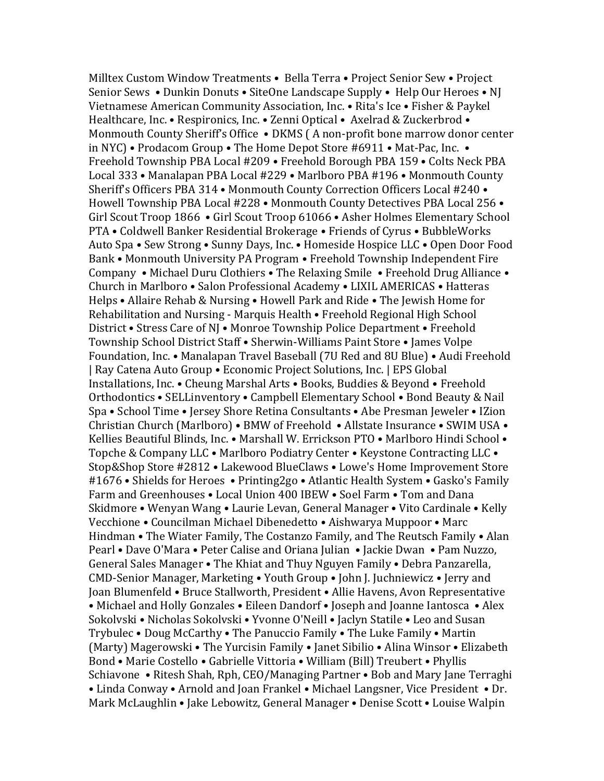Milltex Custom Window Treatments • Bella Terra • Project Senior Sew • Project Senior Sews • Dunkin Donuts • SiteOne Landscape Supply • Help Our Heroes • NJ Vietnamese American Community Association, Inc. • Rita's Ice • Fisher & Paykel Healthcare, Inc. • Respironics, Inc. • Zenni Optical • Axelrad & Zuckerbrod • Monmouth County Sheriff's Office • DKMS ( A non-profit bone marrow donor center in NYC) • Prodacom Group • The Home Depot Store #6911 • Mat-Pac, Inc. • Freehold Township PBA Local #209 • Freehold Borough PBA 159 • Colts Neck PBA Local 333 • Manalapan PBA Local #229 • Marlboro PBA #196 • Monmouth County Sheriff's Officers PBA 314 • Monmouth County Correction Officers Local #240 • Howell Township PBA Local #228 • Monmouth County Detectives PBA Local 256 • Girl Scout Troop 1866 • Girl Scout Troop 61066 • Asher Holmes Elementary School PTA • Coldwell Banker Residential Brokerage • Friends of Cyrus • BubbleWorks Auto Spa • Sew Strong • Sunny Days, Inc. • Homeside Hospice LLC • Open Door Food Bank • Monmouth University PA Program • Freehold Township Independent Fire Company • Michael Duru Clothiers • The Relaxing Smile • Freehold Drug Alliance • Church in Marlboro • Salon Professional Academy • LIXIL AMERICAS • Hatteras Helps • Allaire Rehab & Nursing • Howell Park and Ride • The Jewish Home for Rehabilitation and Nursing - Marquis Health • Freehold Regional High School District • Stress Care of NJ • Monroe Township Police Department • Freehold Township School District Staff • Sherwin-Williams Paint Store • James Volpe Foundation, Inc. • Manalapan Travel Baseball (7U Red and 8U Blue) • Audi Freehold | Ray Catena Auto Group • Economic Project Solutions, Inc. | EPS Global Installations, Inc. • Cheung Marshal Arts • Books, Buddies & Beyond • Freehold Orthodontics • SELLinventory • Campbell Elementary School • Bond Beauty & Nail Spa • School Time • Jersey Shore Retina Consultants • Abe Presman Jeweler • IZion Christian Church (Marlboro) • BMW of Freehold • Allstate Insurance • SWIM USA • Kellies Beautiful Blinds, Inc. • Marshall W. Errickson PTO • Marlboro Hindi School • Topche & Company LLC • Marlboro Podiatry Center • Keystone Contracting LLC • Stop&Shop Store #2812 • Lakewood BlueClaws • Lowe's Home Improvement Store #1676 • Shields for Heroes • Printing2go • Atlantic Health System • Gasko's Family Farm and Greenhouses • Local Union 400 IBEW • Soel Farm • Tom and Dana Skidmore • Wenyan Wang • Laurie Levan, General Manager • Vito Cardinale • Kelly Vecchione • Councilman Michael Dibenedetto • Aishwarya Muppoor • Marc Hindman • The Wiater Family, The Costanzo Family, and The Reutsch Family • Alan Pearl • Dave O'Mara • Peter Calise and Oriana Julian • Jackie Dwan • Pam Nuzzo, General Sales Manager • The Khiat and Thuy Nguyen Family • Debra Panzarella, CMD-Senior Manager, Marketing • Youth Group • John J. Juchniewicz • Jerry and Joan Blumenfeld • Bruce Stallworth, President • Allie Havens, Avon Representative • Michael and Holly Gonzales • Eileen Dandorf • Joseph and Joanne Iantosca • Alex Sokolvski • Nicholas Sokolvski • Yvonne O'Neill • Jaclyn Statile • Leo and Susan Trybulec • Doug McCarthy • The Panuccio Family • The Luke Family • Martin (Marty) Magerowski • The Yurcisin Family • Janet Sibilio • Alina Winsor • Elizabeth Bond • Marie Costello • Gabrielle Vittoria • William (Bill) Treubert • Phyllis Schiavone • Ritesh Shah, Rph, CEO/Managing Partner • Bob and Mary Jane Terraghi • Linda Conway • Arnold and Joan Frankel • Michael Langsner, Vice President • Dr. Mark McLaughlin • Jake Lebowitz, General Manager • Denise Scott • Louise Walpin